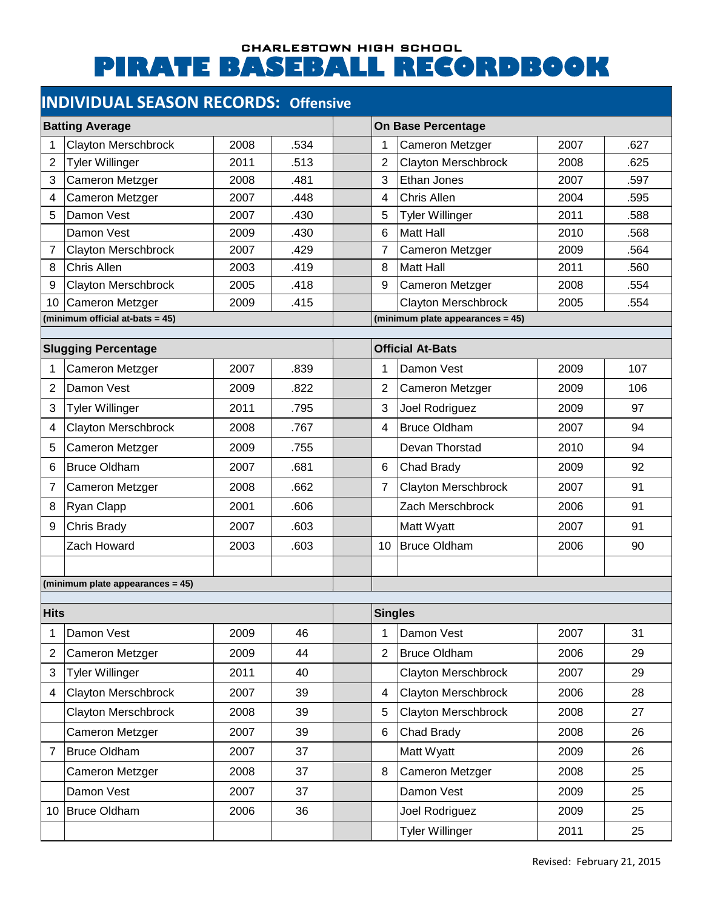#### CHARLESTOWN HIGH SCHOOL **PIRATE BASEBALL RECORDBOOK**

# **INDIVIDUAL SEASON RECORDS: Offensive**

| <b>Batting Average</b>           |                            |      | <b>On Base Percentage</b>        |                 |                            |      |      |  |
|----------------------------------|----------------------------|------|----------------------------------|-----------------|----------------------------|------|------|--|
|                                  | <b>Clayton Merschbrock</b> | 2008 | .534                             | 1               | Cameron Metzger            | 2007 | .627 |  |
| 2                                | <b>Tyler Willinger</b>     | 2011 | .513                             | $\overline{2}$  | <b>Clayton Merschbrock</b> | 2008 | .625 |  |
| 3                                | Cameron Metzger            | 2008 | .481                             | 3               | <b>Ethan Jones</b>         | 2007 | .597 |  |
| 4                                | Cameron Metzger            | 2007 | .448                             | 4               | Chris Allen                | 2004 | .595 |  |
| 5                                | Damon Vest                 | 2007 | .430                             | 5               | <b>Tyler Willinger</b>     | 2011 | .588 |  |
|                                  | Damon Vest                 | 2009 | .430                             | 6               | <b>Matt Hall</b>           | 2010 | .568 |  |
| 7                                | Clayton Merschbrock        | 2007 | .429                             | 7               | Cameron Metzger            | 2009 | .564 |  |
| 8                                | <b>Chris Allen</b>         | 2003 | .419                             | 8               | <b>Matt Hall</b>           | 2011 | .560 |  |
| 9                                | <b>Clayton Merschbrock</b> | 2005 | .418                             | 9               | Cameron Metzger            | 2008 | .554 |  |
| 10                               | Cameron Metzger            | 2009 | .415                             |                 | <b>Clayton Merschbrock</b> | 2005 | .554 |  |
| (minimum official at-bats = 45)  |                            |      | (minimum plate appearances = 45) |                 |                            |      |      |  |
| <b>Slugging Percentage</b>       |                            |      | <b>Official At-Bats</b>          |                 |                            |      |      |  |
| 1                                | <b>Cameron Metzger</b>     | 2007 | .839                             | 1               | Damon Vest                 | 2009 | 107  |  |
| 2                                | Damon Vest                 | 2009 | .822                             | $\overline{2}$  | Cameron Metzger            | 2009 | 106  |  |
| 3                                | Tyler Willinger            | 2011 | .795                             | 3               | Joel Rodriguez             | 2009 | 97   |  |
| 4                                | <b>Clayton Merschbrock</b> | 2008 | .767                             | 4               | <b>Bruce Oldham</b>        | 2007 | 94   |  |
| 5                                | Cameron Metzger            | 2009 | .755                             |                 | Devan Thorstad             | 2010 | 94   |  |
| 6                                | <b>Bruce Oldham</b>        | 2007 | .681                             | 6               | Chad Brady                 | 2009 | 92   |  |
| 7                                | Cameron Metzger            | 2008 | .662                             | $\overline{7}$  | <b>Clayton Merschbrock</b> | 2007 | 91   |  |
| 8                                | Ryan Clapp                 | 2001 | .606                             |                 | Zach Merschbrock           | 2006 | 91   |  |
| 9                                | Chris Brady                | 2007 | .603                             |                 | Matt Wyatt                 | 2007 | 91   |  |
|                                  | Zach Howard                | 2003 | .603                             | 10 <sup>1</sup> | Bruce Oldham               | 2006 | 90   |  |
|                                  |                            |      |                                  |                 |                            |      |      |  |
| (minimum plate appearances = 45) |                            |      |                                  |                 |                            |      |      |  |
| <b>Hits</b>                      |                            |      |                                  | <b>Singles</b>  |                            |      |      |  |
| 1                                | Damon Vest                 | 2009 | 46                               | 1               | Damon Vest                 | 2007 | 31   |  |
| 2                                | <b>Cameron Metzger</b>     | 2009 | 44                               | $\overline{2}$  | <b>Bruce Oldham</b>        | 2006 | 29   |  |
| 3                                | <b>Tyler Willinger</b>     | 2011 | 40                               |                 | Clayton Merschbrock        | 2007 | 29   |  |
| 4                                | <b>Clayton Merschbrock</b> | 2007 | 39                               | 4               | Clayton Merschbrock        | 2006 | 28   |  |
|                                  | Clayton Merschbrock        | 2008 | 39                               | 5               | Clayton Merschbrock        | 2008 | 27   |  |
|                                  | Cameron Metzger            | 2007 | 39                               | 6               | Chad Brady                 | 2008 | 26   |  |
| 7                                | Bruce Oldham               | 2007 | 37                               |                 | Matt Wyatt                 | 2009 | 26   |  |
|                                  | Cameron Metzger            | 2008 | 37                               | 8               | Cameron Metzger            | 2008 | 25   |  |
|                                  | Damon Vest                 | 2007 | 37                               |                 | Damon Vest                 | 2009 | 25   |  |
|                                  | 10 Bruce Oldham            | 2006 | 36                               |                 | Joel Rodriguez             | 2009 | 25   |  |
|                                  |                            |      |                                  |                 | <b>Tyler Willinger</b>     | 2011 | 25   |  |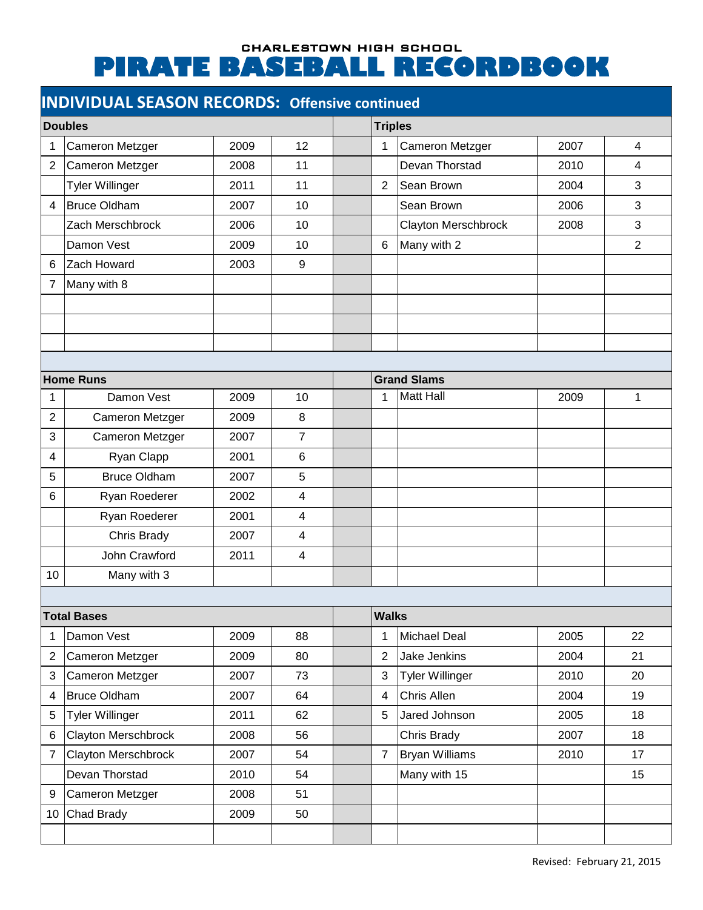# CHARLESTOWN HIGH SCHOOL **PIRATE BASEBALL RECORDBOOK**

| <b>INDIVIDUAL SEASON RECORDS: Offensive continued</b> |  |
|-------------------------------------------------------|--|
|-------------------------------------------------------|--|

| <b>Doubles</b> |                        |      | <b>Triples</b>   |                    |                        |      |                |  |
|----------------|------------------------|------|------------------|--------------------|------------------------|------|----------------|--|
| 1              | Cameron Metzger        | 2009 | 12               | 1                  | Cameron Metzger        | 2007 | $\overline{4}$ |  |
| $\overline{2}$ | Cameron Metzger        | 2008 | 11               |                    | Devan Thorstad         | 2010 | 4              |  |
|                | <b>Tyler Willinger</b> | 2011 | 11               | $\overline{2}$     | Sean Brown             | 2004 | 3              |  |
| 4              | Bruce Oldham           | 2007 | 10               |                    | Sean Brown             | 2006 | 3              |  |
|                | Zach Merschbrock       | 2006 | 10               |                    | Clayton Merschbrock    | 2008 | 3              |  |
|                | Damon Vest             | 2009 | 10               | 6                  | Many with 2            |      | $\overline{2}$ |  |
| 6              | Zach Howard            | 2003 | $\boldsymbol{9}$ |                    |                        |      |                |  |
| 7              | Many with 8            |      |                  |                    |                        |      |                |  |
|                |                        |      |                  |                    |                        |      |                |  |
|                |                        |      |                  |                    |                        |      |                |  |
|                |                        |      |                  |                    |                        |      |                |  |
|                |                        |      |                  |                    |                        |      |                |  |
|                | <b>Home Runs</b>       |      |                  | <b>Grand Slams</b> |                        |      |                |  |
| 1              | Damon Vest             | 2009 | 10               | 1                  | Matt Hall              | 2009 | 1              |  |
| $\overline{c}$ | Cameron Metzger        | 2009 | 8                |                    |                        |      |                |  |
| 3              | Cameron Metzger        | 2007 | $\overline{7}$   |                    |                        |      |                |  |
| 4              | Ryan Clapp             | 2001 | 6                |                    |                        |      |                |  |
| 5              | <b>Bruce Oldham</b>    | 2007 | 5                |                    |                        |      |                |  |
| 6              | Ryan Roederer          | 2002 | 4                |                    |                        |      |                |  |
|                | Ryan Roederer          | 2001 | 4                |                    |                        |      |                |  |
|                | Chris Brady            | 2007 | 4                |                    |                        |      |                |  |
|                | John Crawford          | 2011 | 4                |                    |                        |      |                |  |
| 10             | Many with 3            |      |                  |                    |                        |      |                |  |
|                |                        |      |                  |                    |                        |      |                |  |
|                | <b>Total Bases</b>     |      | <b>Walks</b>     |                    |                        |      |                |  |
| 1              | Damon Vest             | 2009 | 88               | 1                  | <b>Michael Deal</b>    | 2005 | 22             |  |
| 2              | Cameron Metzger        | 2009 | 80               | $\boldsymbol{2}$   | Jake Jenkins           | 2004 | 21             |  |
| 3              | Cameron Metzger        | 2007 | 73               | 3                  | <b>Tyler Willinger</b> | 2010 | 20             |  |
| 4              | <b>Bruce Oldham</b>    | 2007 | 64               | 4                  | Chris Allen            | 2004 | 19             |  |
| 5              | <b>Tyler Willinger</b> | 2011 | 62               | 5                  | Jared Johnson          | 2005 | 18             |  |
| 6              | Clayton Merschbrock    | 2008 | 56               |                    | Chris Brady            | 2007 | 18             |  |
| 7              | Clayton Merschbrock    | 2007 | 54               | $\overline{7}$     | <b>Bryan Williams</b>  | 2010 | 17             |  |
|                | Devan Thorstad         | 2010 | 54               |                    | Many with 15           |      | 15             |  |
| 9              | Cameron Metzger        | 2008 | 51               |                    |                        |      |                |  |
| 10             | Chad Brady             | 2009 | 50               |                    |                        |      |                |  |
|                |                        |      |                  |                    |                        |      |                |  |